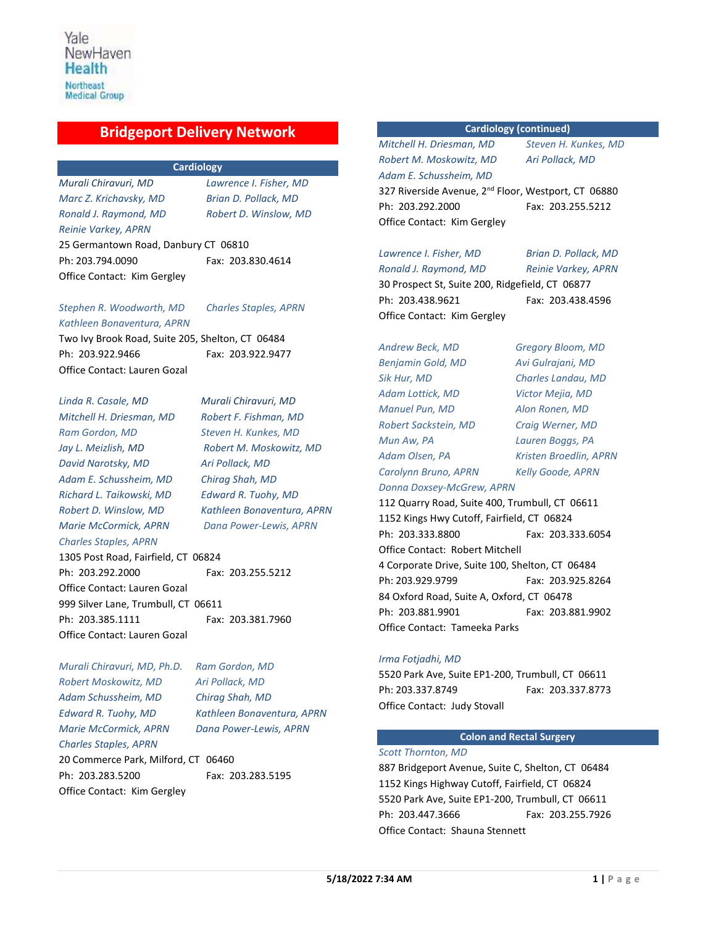## **Bridgeport Delivery Network**

## **Cardiology**

*Murali Chiravuri, MD Lawrence I. Fisher, MD Marc Z. Krichavsky, MD Brian D. Pollack, MD Ronald J. Raymond, MD Robert D. Winslow, MD Reinie Varkey, APRN* 25 Germantown Road, Danbury CT 06810 Ph: 203.794.0090 Fax: 203.830.4614 Office Contact: Kim Gergley

## *Stephen R. Woodworth, MD Charles Staples, APRN*

*Kathleen Bonaventura, APRN*  Two Ivy Brook Road, Suite 205, Shelton, CT 06484 Ph: 203.922.9466 Fax: 203.922.9477 Office Contact: Lauren Gozal

*Linda R. Casale, MD Murali Chiravuri, MD Mitchell H. Driesman, MD Robert F. Fishman, MD Ram Gordon, MD Steven H. Kunkes, MD Jay L. Meizlish, MD Robert M. Moskowitz, MD David Narotsky, MD Ari Pollack, MD Adam E. Schussheim, MD Chirag Shah, MD Richard L. Taikowski, MD Edward R. Tuohy, MD Marie McCormick, APRN Dana Power-Lewis, APRN Charles Staples, APRN*

*Robert D. Winslow, MD Kathleen Bonaventura, APRN*

1305 Post Road, Fairfield, CT 06824

Ph: 203.292.2000 Fax: 203.255.5212 Office Contact: Lauren Gozal 999 Silver Lane, Trumbull, CT 06611 Ph:203.385.1111 Fax: 203.381.7960 Office Contact: Lauren Gozal

*Murali Chiravuri, MD, Ph.D. Ram Gordon, MD Robert Moskowitz, MD Ari Pollack, MD Adam Schussheim, MD Chirag Shah, MD Edward R. Tuohy, MD Kathleen Bonaventura, APRN Marie McCormick, APRN Dana Power-Lewis, APRN Charles Staples, APRN* 20 Commerce Park, Milford, CT 06460 Ph: 203.283.5200 Fax: 203.283.5195 Office Contact: Kim Gergley

## **Cardiology (continued)**

*Mitchell H. Driesman, MD Steven H. Kunkes, MD Robert M. Moskowitz, MD Ari Pollack, MD Adam E. Schussheim, MD*

327 Riverside Avenue, 2<sup>nd</sup> Floor, Westport, CT 06880 Ph: 203.292.2000 Fax: 203.255.5212 Office Contact: Kim Gergley

*Lawrence I. Fisher, MD Brian D. Pollack, MD Ronald J. Raymond, MD Reinie Varkey, APRN*

Office Contact: Kim Gergley

30 Prospect St, Suite 200, Ridgefield, CT 06877 Ph: 203.438.9621 Fax: 203.438.4596

*Andrew Beck, MD Gregory Bloom, MD Benjamin Gold, MD Avi Gulrajani, MD Sik Hur, MD Charles Landau, MD Adam Lottick, MD Victor Mejia, MD Manuel Pun, MD Alon Ronen, MD Robert Sackstein, MD Craig Werner, MD Mun Aw, PA Lauren Boggs, PA Adam Olsen, PA Kristen Broedlin, APRN Carolynn Bruno, APRN Kelly Goode, APRN Donna Doxsey-McGrew, APRN*

112 Quarry Road, Suite 400, Trumbull, CT 06611 1152 Kings Hwy Cutoff, Fairfield, CT 06824 Ph: 203.333.8800 Fax: 203.333.6054 Office Contact: Robert Mitchell 4 Corporate Drive, Suite 100, Shelton, CT 06484 Ph: 203.929.9799 Fax: 203.925.8264 84 Oxford Road, Suite A, Oxford, CT 06478 Ph: 203.881.9901 Fax: 203.881.9902 Office Contact: Tameeka Parks

## *Irma Fotjadhi, MD*

5520 Park Ave, Suite EP1-200, Trumbull, CT 06611 Ph: 203.337.8749 Fax: 203.337.8773 Office Contact: Judy Stovall

## **Colon and Rectal Surgery**

## *Scott Thornton, MD*

887 Bridgeport Avenue, Suite C, Shelton, CT 06484 1152 Kings Highway Cutoff, Fairfield, CT 06824 5520 Park Ave, Suite EP1-200, Trumbull, CT 06611 Ph: 203.447.3666 Fax: 203.255.7926 Office Contact: Shauna Stennett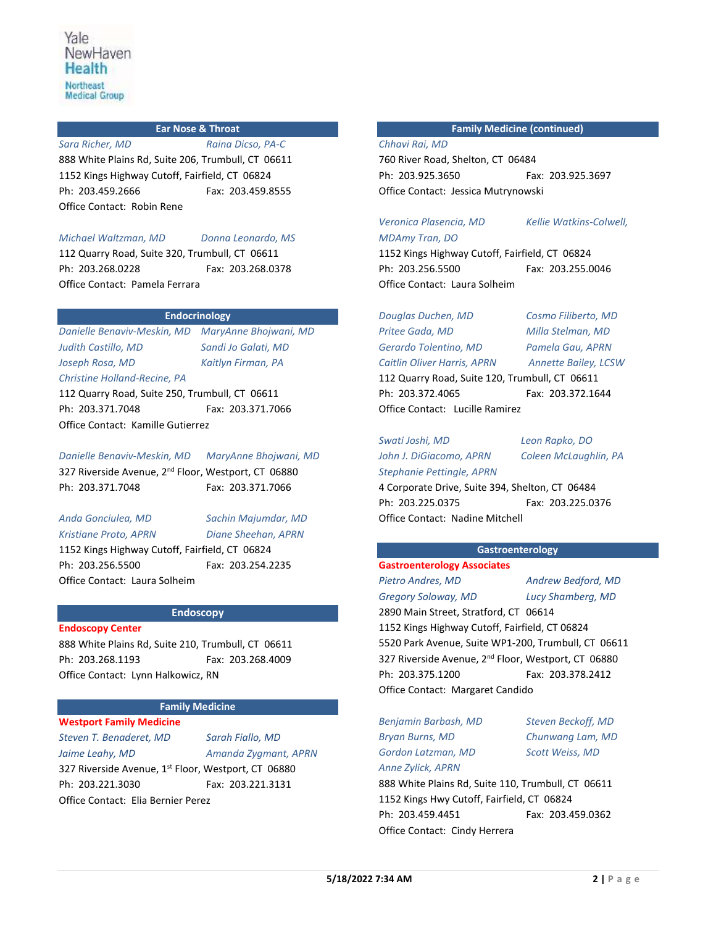## **Ear Nose & Throat**

*Sara Richer, MD Raina Dicso, PA-C* 888 White Plains Rd, Suite 206, Trumbull, CT 06611 1152 Kings Highway Cutoff, Fairfield, CT 06824 Ph: 203.459.2666 Fax: 203.459.8555 Office Contact: Robin Rene

*Michael Waltzman, MD Donna Leonardo, MS*

112 Quarry Road, Suite 320, Trumbull, CT 06611 Ph: 203.268.0228 Fax: 203.268.0378 Office Contact: Pamela Ferrara

## **Endocrinology**

*Danielle Benaviv-Meskin, MD MaryAnne Bhojwani, MD Judith Castillo, MD Sandi Jo Galati, MD Joseph Rosa, MD Kaitlyn Firman, PA Christine Holland-Recine, PA*

112 Quarry Road, Suite 250, Trumbull, CT 06611 Ph: 203.371.7048 Fax: 203.371.7066 Office Contact: Kamille Gutierrez

*Danielle Benaviv-Meskin, MD MaryAnne Bhojwani, MD* 327 Riverside Avenue, 2<sup>nd</sup> Floor, Westport, CT 06880 Ph: 203.371.7048 Fax: 203.371.7066

*Anda Gonciulea, MD Sachin Majumdar, MD Kristiane Proto, APRN Diane Sheehan, APRN* 1152 Kings Highway Cutoff, Fairfield, CT 06824 Ph: 203.256.5500 Fax: 203.254.2235 Office Contact: Laura Solheim

**Endoscopy**

## **Endoscopy Center**

888 White Plains Rd, Suite 210, Trumbull, CT 06611 Ph: 203.268.1193 Fax: 203.268.4009 Office Contact: Lynn Halkowicz, RN

## **Family Medicine**

**Westport Family Medicine** *Steven T. Benaderet, MD Sarah Fiallo, MD Jaime Leahy, MD Amanda Zygmant, APRN* 327 Riverside Avenue, 1st Floor, Westport, CT 06880 Ph: 203.221.3030 Fax: 203.221.3131 Office Contact: Elia Bernier Perez

## **Family Medicine (continued)**

*Chhavi Rai, MD*

760 River Road, Shelton, CT 06484 Ph: 203.925.3650 Fax: 203.925.3697 Office Contact: Jessica Mutrynowski

*Veronica Plasencia, MD Kellie Watkins-Colwell,* 

*MDAmy Tran, DO* 1152 Kings Highway Cutoff, Fairfield, CT 06824 Ph: 203.256.5500 Fax: 203.255.0046 Office Contact: Laura Solheim

*Douglas Duchen, MD Cosmo Filiberto, MD Pritee Gada, MD Milla Stelman, MD Gerardo Tolentino, MD Pamela Gau, APRN Caitlin Oliver Harris, APRN Annette Bailey, LCSW* 112 Quarry Road, Suite 120, Trumbull, CT 06611 Ph: 203.372.4065 Fax: 203.372.1644 Office Contact: Lucille Ramirez

*Swati Joshi, MD Leon Rapko, DO John J. DiGiacomo, APRN Coleen McLaughlin, PA Stephanie Pettingle, APRN*

4 Corporate Drive, Suite 394, Shelton, CT 06484 Ph: 203.225.0375 Fax: 203.225.0376 Office Contact: Nadine Mitchell

## **Gastroenterology**

**Gastroenterology Associates** *Pietro Andres, MD Andrew Bedford, MD Gregory Soloway, MD Lucy Shamberg, MD* 2890 Main Street, Stratford, CT 06614 1152 Kings Highway Cutoff, Fairfield, CT 06824 5520 Park Avenue, Suite WP1-200, Trumbull, CT 06611 327 Riverside Avenue, 2<sup>nd</sup> Floor, Westport, CT 06880 Ph: 203.375.1200 Fax: 203.378.2412 Office Contact: Margaret Candido

*Benjamin Barbash, MD Steven Beckoff, MD Bryan Burns, MD Chunwang Lam, MD Gordon Latzman, MD Scott Weiss, MD Anne Zylick, APRN*

888 White Plains Rd, Suite 110, Trumbull, CT 06611 1152 Kings Hwy Cutoff, Fairfield, CT 06824 Ph: 203.459.4451 Fax: 203.459.0362 Office Contact: Cindy Herrera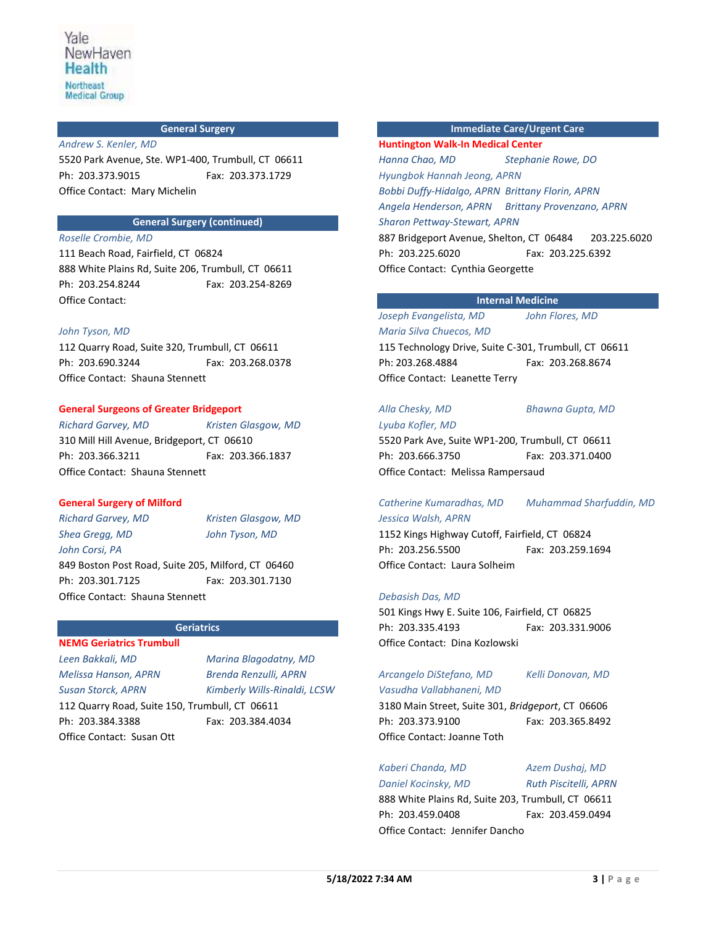#### **General Surgery**

#### *Andrew S. Kenler, MD*

5520 Park Avenue, Ste. WP1-400, Trumbull, CT 06611 Ph: 203.373.9015 Fax: 203.373.1729 Office Contact: Mary Michelin

## **General Surgery (continued)**

## *Roselle Crombie, MD*

111 Beach Road, Fairfield, CT 06824 888 White Plains Rd, Suite 206, Trumbull, CT 06611 Ph: 203.254.8244 Fax: 203.254-8269 Office Contact:

#### *John Tyson, MD*

112 Quarry Road, Suite 320, Trumbull, CT 06611 Ph: 203.690.3244 Fax: 203.268.0378 Office Contact: Shauna Stennett

#### **General Surgeons of Greater Bridgeport**

*Richard Garvey, MD Kristen Glasgow, MD*  310 Mill Hill Avenue, Bridgeport, CT 06610 Ph: 203.366.3211 Fax: 203.366.1837 Office Contact: Shauna Stennett

#### **General Surgery of Milford**

*Shea Gregg, MD John Tyson, MD John Corsi, PA*

*Richard Garvey, MD Kristen Glasgow, MD*

849 Boston Post Road, Suite 205, Milford, CT 06460 Ph: 203.301.7125 Fax: 203.301.7130 Office Contact: Shauna Stennett

#### **Geriatrics**

**NEMG Geriatrics Trumbull** *Leen Bakkali, MD Marina Blagodatny, MD Melissa Hanson, APRN Brenda Renzulli, APRN Susan Storck, APRN Kimberly Wills-Rinaldi, LCSW* 112 Quarry Road, Suite 150, Trumbull, CT 06611 Ph: 203.384.3388 Fax: 203.384.4034

Office Contact: Susan Ott

**Immediate Care/Urgent Care**

**Huntington Walk-In Medical Center** *Hanna Chao, MD Stephanie Rowe, DO Hyungbok Hannah Jeong, APRN Bobbi Duffy-Hidalgo, APRN Brittany Florin, APRN Angela Henderson, APRN Brittany Provenzano, APRN Sharon Pettway-Stewart, APRN* 887 Bridgeport Avenue, Shelton, CT 06484 203.225.6020 Ph: 203.225.6020 Fax: 203.225.6392 Office Contact: Cynthia Georgette

## **Internal Medicine**

## *Joseph Evangelista, MD John Flores, MD Maria Silva Chuecos, MD*

115 Technology Drive, Suite C-301, Trumbull, CT 06611 Ph: 203.268.4884 Fax: 203.268.8674 Office Contact: Leanette Terry

*Alla Chesky, MD Bhawna Gupta, MD*

*Lyuba Kofler, MD* 5520 Park Ave, Suite WP1-200, Trumbull, CT 06611 Ph: 203.666.3750 Fax: 203.371.0400 Office Contact: Melissa Rampersaud

## *Catherine Kumaradhas, MD Muhammad Sharfuddin, MD Jessica Walsh, APRN*

1152 Kings Highway Cutoff, Fairfield, CT 06824 Ph: 203.256.5500 Fax: 203.259.1694 Office Contact: Laura Solheim

#### *Debasish Das, MD*

501 Kings Hwy E. Suite 106, Fairfield, CT 06825 Ph: 203.335.4193 Fax: 203.331.9006 Office Contact: Dina Kozlowski

## *Arcangelo DiStefano, MD Kelli Donovan, MD*

*Vasudha Vallabhaneni, MD* 3180 Main Street, Suite 301, *Bridgeport*, CT 06606 Ph: 203.373.9100 Fax: 203.365.8492 Office Contact: Joanne Toth

#### *Kaberi Chanda, MD Azem Dushaj, MD*

*Daniel Kocinsky, MD Ruth Piscitelli, APRN*

888 White Plains Rd, Suite 203, Trumbull, CT 06611 Ph: 203.459.0408 Fax: 203.459.0494 Office Contact: Jennifer Dancho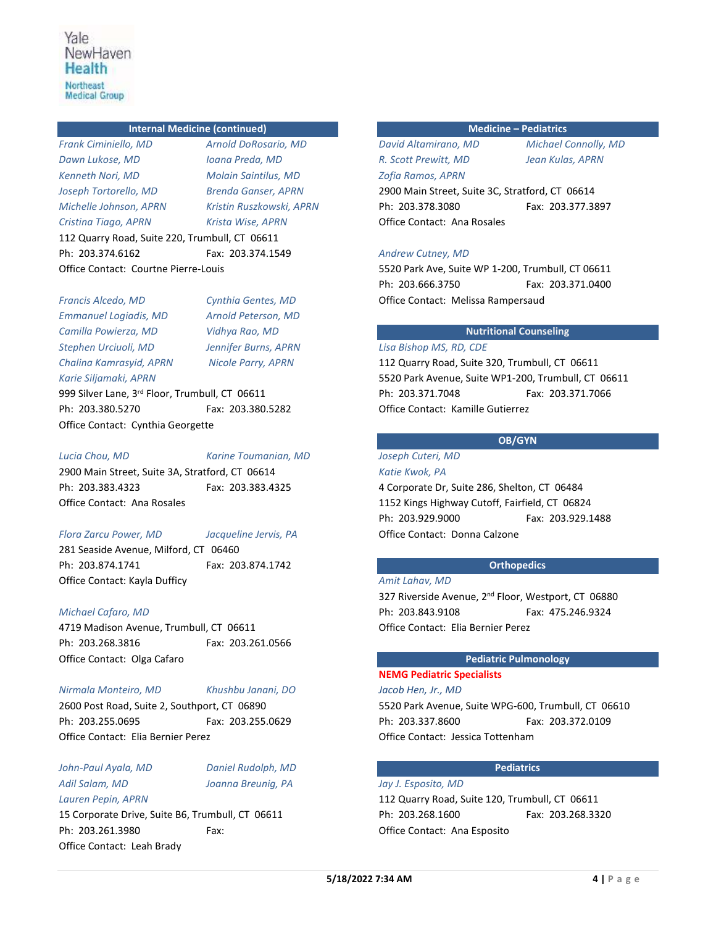## **Internal Medicine (continued)**

*Frank Ciminiello, MD Arnold DoRosario, MD Dawn Lukose, MD Ioana Preda, MD Kenneth Nori, MD Molain Saintilus, MD Joseph Tortorello, MD Brenda Ganser, APRN Michelle Johnson, APRN Kristin Ruszkowski, APRN Cristina Tiago, APRN Krista Wise, APRN* 112 Quarry Road, Suite 220, Trumbull, CT 06611 Ph: 203.374.6162 Fax: 203.374.1549 Office Contact: Courtne Pierre-Louis

*Francis Alcedo, MD Cynthia Gentes, MD Emmanuel Logiadis, MD Arnold Peterson, MD Camilla Powierza, MD Vidhya Rao, MD Stephen Urciuoli, MD Jennifer Burns, APRN Chalina Kamrasyid, APRN Nicole Parry, APRN Karie Siljamaki, APRN*  999 Silver Lane, 3rd Floor, Trumbull, CT 06611 Ph: 203.380.5270 Fax: 203.380.5282 Office Contact: Cynthia Georgette

*Lucia Chou, MD Karine Toumanian, MD*

2900 Main Street, Suite 3A, Stratford, CT 06614 Ph: 203.383.4323 Fax: 203.383.4325 Office Contact: Ana Rosales

#### *Flora Zarcu Power, MD Jacqueline Jervis, PA*

281 Seaside Avenue, Milford, CT 06460 Ph: 203.874.1741 Fax: 203.874.1742 Office Contact: Kayla Dufficy

## *Michael Cafaro, MD*

4719 Madison Avenue, Trumbull, CT 06611 Ph: 203.268.3816 Fax: 203.261.0566 Office Contact: Olga Cafaro

## *Nirmala Monteiro, MD Khushbu Janani, DO*

2600 Post Road, Suite 2, Southport, CT 06890 Ph: 203.255.0695 Fax: 203.255.0629 Office Contact: Elia Bernier Perez

## *John-Paul Ayala, MD Daniel Rudolph, MD Adil Salam, MD Joanna Breunig, PA Lauren Pepin, APRN*

15 Corporate Drive, Suite B6, Trumbull, CT 06611 Ph: 203.261.3980 Fax: Office Contact: Leah Brady

## **Medicine – Pediatrics**

*David Altamirano, MD Michael Connolly, MD R. Scott Prewitt, MD Jean Kulas, APRN Zofia Ramos, APRN* 2900 Main Street, Suite 3C, Stratford, CT 06614 Ph: 203.378.3080 Fax: 203.377.3897 Office Contact: Ana Rosales

## *Andrew Cutney, MD*

5520 Park Ave, Suite WP 1-200, Trumbull, CT 06611 Ph: 203.666.3750 Fax: 203.371.0400 Office Contact: Melissa Rampersaud

## **Nutritional Counseling**

## *Lisa Bishop MS, RD, CDE*

112 Quarry Road, Suite 320, Trumbull, CT 06611 5520 Park Avenue, Suite WP1-200, Trumbull, CT 06611 Ph: 203.371.7048 Fax: 203.371.7066 Office Contact: Kamille Gutierrez

## **OB/GYN**

*Joseph Cuteri, MD Katie Kwok, PA*

4 Corporate Dr, Suite 286, Shelton, CT 06484 1152 Kings Highway Cutoff, Fairfield, CT 06824 Ph:203.929.9000 Fax: 203.929.1488 Office Contact: Donna Calzone

## **Orthopedics**

#### *Amit Lahav, MD*

327 Riverside Avenue, 2<sup>nd</sup> Floor, Westport, CT 06880 Ph: 203.843.9108 Fax: 475.246.9324 Office Contact: Elia Bernier Perez

## **Pediatric Pulmonology**

# **NEMG Pediatric Specialists**

*Jacob Hen, Jr., MD*

5520 Park Avenue, Suite WPG-600, Trumbull, CT 06610 Ph: 203.337.8600 Fax: 203.372.0109 Office Contact: Jessica Tottenham

## **Pediatrics**

*Jay J. Esposito, MD* 112 Quarry Road, Suite 120, Trumbull, CT 06611 Ph: 203.268.1600 Fax: 203.268.3320 Office Contact: Ana Esposito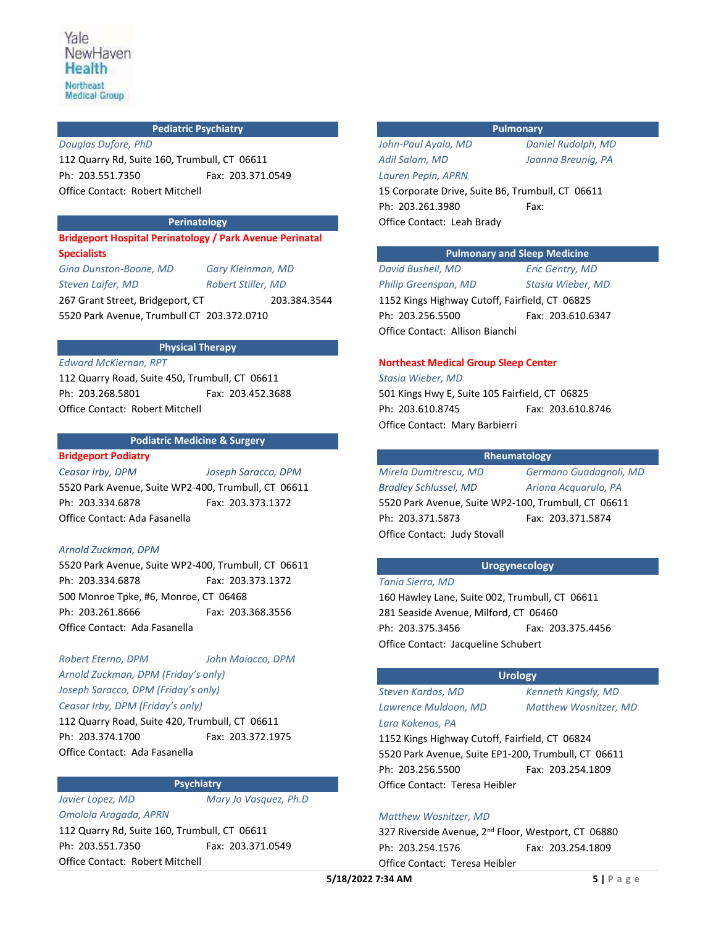## **Pediatric Psychiatry**

*Douglas Dufore, PhD* 112 Quarry Rd, Suite 160, Trumbull, CT 06611 Ph: 203.551.7350 Fax: 203.371.0549 Office Contact: Robert Mitchell

## **Perinatology**

**Bridgeport Hospital Perinatology / Park Avenue Perinatal Specialists**

*Gina Dunston-Boone, MD Gary Kleinman, MD Steven Laifer, MD Robert Stiller, MD* 267 Grant Street, Bridgeport, CT 203.384.3544 5520 Park Avenue, Trumbull CT 203.372.0710

## **Physical Therapy**

*Edward McKiernan, RPT* 112 Quarry Road, Suite 450, Trumbull, CT 06611 Ph: 203.268.5801 Fax: 203.452.3688 Office Contact: Robert Mitchell

## **Podiatric Medicine & Surgery**

## **Bridgeport Podiatry**

*Ceasar Irby, DPM Joseph Saracco, DPM*

5520 Park Avenue, Suite WP2-400, Trumbull, CT 06611 Ph: 203.334.6878 Fax: 203.373.1372 Office Contact: Ada Fasanella

## *Arnold Zuckman, DPM*

*Omolola Aragada, APRN*

5520 Park Avenue, Suite WP2-400, Trumbull, CT 06611 Ph: 203.334.6878 Fax: 203.373.1372 500 Monroe Tpke, #6, Monroe, CT 06468 Ph: 203.261.8666 Fax: 203.368.3556 Office Contact: Ada Fasanella

*Robert Eterno, DPM John Maiocco, DPM Arnold Zuckman, DPM (Friday's only) Joseph Saracco, DPM (Friday's only) Ceasar Irby, DPM (Friday's only)*

112 Quarry Road, Suite 420, Trumbull, CT 06611 Ph: 203.374.1700 Fax: 203.372.1975 Office Contact: Ada Fasanella

## **Psychiatry**

*Javier Lopez, MD Mary Jo Vasquez, Ph.D*

112 Quarry Rd, Suite 160, Trumbull, CT 06611 Ph: 203.551.7350 Fax: 203.371.0549 Office Contact: Robert Mitchell

## **Pulmonary**

*John-Paul Ayala, MD Daniel Rudolph, MD Adil Salam, MD Joanna Breunig, PA Lauren Pepin, APRN* Office Contact: Leah Brady

15 Corporate Drive, Suite B6, Trumbull, CT 06611 Ph: 203.261.3980 Fax:

## **Pulmonary and Sleep Medicine**

*David Bushell, MD Eric Gentry, MD Philip Greenspan, MD Stasia Wieber, MD* 1152 Kings Highway Cutoff, Fairfield, CT 06825 Ph: 203.256.5500 Fax: 203.610.6347 Office Contact: Allison Bianchi

## **Northeast Medical Group Sleep Center**

## *Stasia Wieber, MD*

501 Kings Hwy E, Suite 105 Fairfield, CT 06825 Ph: 203.610.8745 Fax: 203.610.8746 Office Contact: Mary Barbierri

## **Rheumatology**

*Mirela Dumitrescu, MD Germano Guadagnoli, MD Bradley Schlussel, MD Ariana Acquarulo, PA* 5520 Park Avenue, Suite WP2-100, Trumbull, CT 06611 Ph: 203.371.5873 Fax: 203.371.5874 Office Contact: Judy Stovall

## **Urogynecology**

*Tania Sierra, MD*

160 Hawley Lane, Suite 002, Trumbull, CT 06611 281 Seaside Avenue, Milford, CT 06460 Ph: 203.375.3456 Fax: 203.375.4456 Office Contact: Jacqueline Schubert

## **Urology**

*Steven Kardos, MD Kenneth Kingsly, MD Lara Kokenos, PA*

*Lawrence Muldoon, MD Matthew Wosnitzer, MD*

1152 Kings Highway Cutoff, Fairfield, CT 06824 5520 Park Avenue, Suite EP1-200, Trumbull, CT 06611 Ph: 203.256.5500 Fax: 203.254.1809 Office Contact: Teresa Heibler

## *Matthew Wosnitzer, MD*

327 Riverside Avenue, 2<sup>nd</sup> Floor, Westport, CT 06880 Ph: 203.254.1576 Fax: 203.254.1809 Office Contact: Teresa Heibler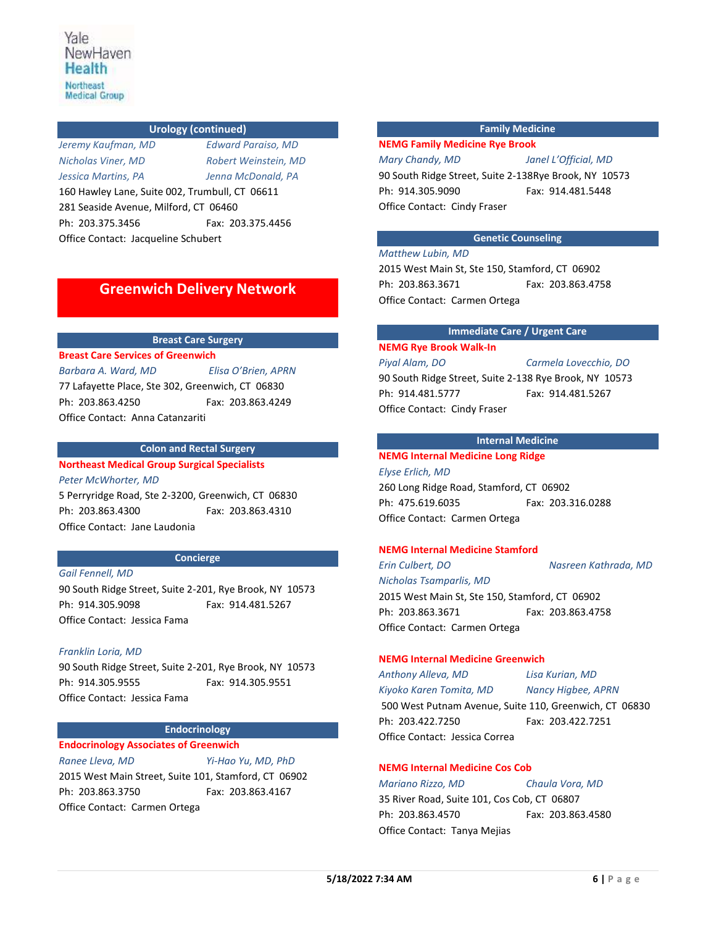## **Urology (continued)**

*Jeremy Kaufman, MD Edward Paraiso, MD Nicholas Viner, MD Robert Weinstein, MD Jessica Martins, PA Jenna McDonald, PA* 160 Hawley Lane, Suite 002, Trumbull, CT 06611 281 Seaside Avenue, Milford, CT 06460 Ph: 203.375.3456 Fax: 203.375.4456 Office Contact: Jacqueline Schubert

# **Greenwich Delivery Network**

## **Breast Care Surgery**

**Breast Care Services of Greenwich**

*Barbara A. Ward, MD Elisa O'Brien, APRN* 77 Lafayette Place, Ste 302, Greenwich, CT 06830 Ph: 203.863.4250 Fax: 203.863.4249 Office Contact: Anna Catanzariti

## **Colon and Rectal Surgery**

**Northeast Medical Group Surgical Specialists**

*Peter McWhorter, MD* 5 Perryridge Road, Ste 2-3200, Greenwich, CT 06830 Ph: 203.863.4300 Fax: 203.863.4310 Office Contact: Jane Laudonia

## **Concierge**

*Gail Fennell, MD*

90 South Ridge Street, Suite 2-201, Rye Brook, NY 10573 Ph: 914.305.9098 Fax: 914.481.5267 Office Contact: Jessica Fama

## *Franklin Loria, MD*

90 South Ridge Street, Suite 2-201, Rye Brook, NY 10573 Ph: 914.305.9555 Fax: 914.305.9551 Office Contact: Jessica Fama

#### **Endocrinology**

**Endocrinology Associates of Greenwich**

*Ranee Lleva, MD Yi-Hao Yu, MD, PhD* 2015 West Main Street, Suite 101, Stamford, CT 06902 Ph: 203.863.3750 Fax: 203.863.4167 Office Contact: Carmen Ortega

## **Family Medicine**

## **NEMG Family Medicine Rye Brook**

## *Mary Chandy, MD Janel L'Official, MD*

90 South Ridge Street, Suite 2-138Rye Brook, NY 10573 Ph: 914.305.9090 Fax: 914.481.5448 Office Contact: Cindy Fraser

## **Genetic Counseling**

## *Matthew Lubin, MD*

2015 West Main St, Ste 150, Stamford, CT 06902 Ph: 203.863.3671 Fax: 203.863.4758 Office Contact: Carmen Ortega

## **Immediate Care / Urgent Care**

## **NEMG Rye Brook Walk-In**

*Piyal Alam, DO Carmela Lovecchio, DO* 90 South Ridge Street, Suite 2-138 Rye Brook, NY 10573 Ph: 914.481.5777 Fax: 914.481.5267 Office Contact: Cindy Fraser

## **Internal Medicine**

## **NEMG Internal Medicine Long Ridge**

*Elyse Erlich, MD* 260 Long Ridge Road, Stamford, CT 06902 Ph: 475.619.6035 Fax: 203.316.0288 Office Contact: Carmen Ortega

## **NEMG Internal Medicine Stamford**

*Erin Culbert, DO Nasreen Kathrada, MD*

*Nicholas Tsamparlis, MD* 2015 West Main St, Ste 150, Stamford, CT 06902 Ph: 203.863.3671 Fax: 203.863.4758 Office Contact: Carmen Ortega

## **NEMG Internal Medicine Greenwich**

*Anthony Alleva, MD Lisa Kurian, MD*

*Kiyoko Karen Tomita, MD Nancy Higbee, APRN*

500 West Putnam Avenue, Suite 110, Greenwich, CT 06830 Ph: 203.422.7250 Fax: 203.422.7251 Office Contact: Jessica Correa

## **NEMG Internal Medicine Cos Cob**

*Mariano Rizzo, MD Chaula Vora, MD* 35 River Road, Suite 101, Cos Cob, CT 06807 Ph: 203.863.4570 Fax: 203.863.4580 Office Contact: Tanya Mejias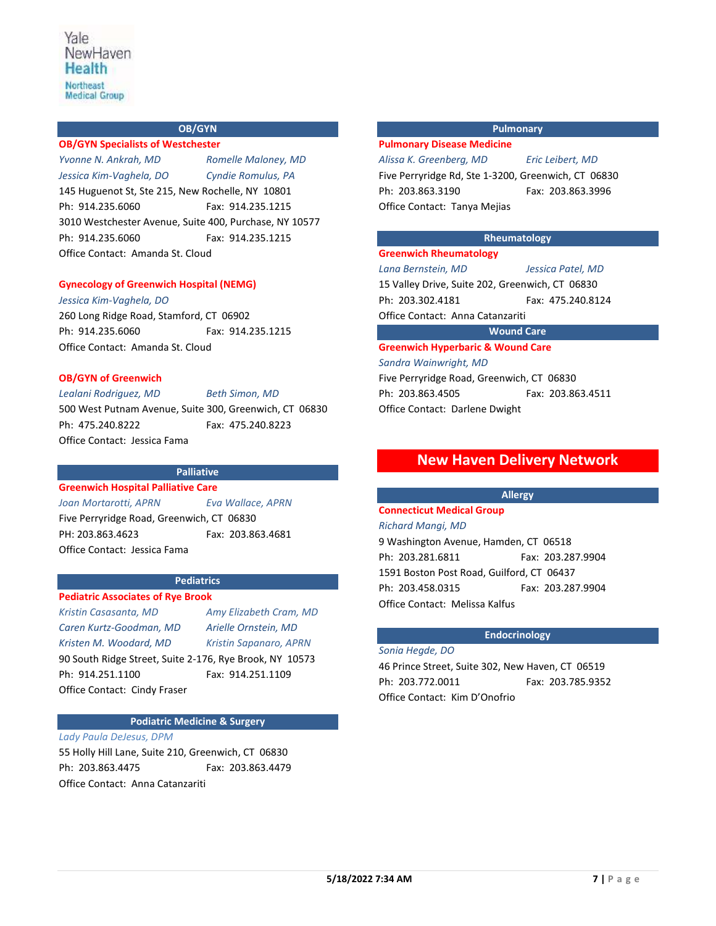## **OB/GYN**

**OB/GYN Specialists of Westchester** *Yvonne N. Ankrah, MD Romelle Maloney, MD Jessica Kim-Vaghela, DO Cyndie Romulus, PA* 145 Huguenot St, Ste 215, New Rochelle, NY 10801 Ph: 914.235.6060 Fax: 914.235.1215 3010 Westchester Avenue, Suite 400, Purchase, NY 10577 Ph: 914.235.6060 Fax: 914.235.1215 Office Contact: Amanda St. Cloud

## **Gynecology of Greenwich Hospital (NEMG)**

*Jessica Kim-Vaghela, DO* 260 Long Ridge Road, Stamford, CT 06902 Ph: 914.235.6060 Fax: 914.235.1215 Office Contact: Amanda St. Cloud

## **OB/GYN of Greenwich**

*Lealani Rodriguez, MD Beth Simon, MD*

500 West Putnam Avenue, Suite 300, Greenwich, CT 06830 Ph: 475.240.8222 Fax: 475.240.8223 Office Contact: Jessica Fama

#### **Palliative**

## **Greenwich Hospital Palliative Care**

*Joan Mortarotti, APRN Eva Wallace, APRN* Five Perryridge Road, Greenwich, CT 06830 PH: 203.863.4623 Fax: 203.863.4681 Office Contact: Jessica Fama

# **Pediatrics**

**Pediatric Associates of Rye Brook** *Kristin Casasanta, MD Amy Elizabeth Cram, MD Caren Kurtz-Goodman, MD Arielle Ornstein, MD Kristen M. Woodard, MD Kristin Sapanaro, APRN* 90 South Ridge Street, Suite 2-176, Rye Brook, NY 10573 Ph: 914.251.1100 Fax: 914.251.1109 Office Contact:Cindy Fraser

## **Podiatric Medicine & Surgery**

*Lady Paula DeJesus, DPM* 55 Holly Hill Lane, Suite 210, Greenwich, CT 06830

Ph: 203.863.4475 Fax: 203.863.4479 Office Contact: Anna Catanzariti

## **Pulmonary**

#### **Pulmonary Disease Medicine**

*Alissa K. Greenberg, MD Eric Leibert, MD*

Five Perryridge Rd, Ste 1-3200, Greenwich, CT 06830 Ph: 203.863.3190 Fax: 203.863.3996 Office Contact: Tanya Mejias

## **Rheumatology**

**Greenwich Rheumatology** *Lana Bernstein, MD Jessica Patel, MD* 15 Valley Drive, Suite 202, Greenwich, CT 06830 Ph: 203.302.4181 Fax: 475.240.8124 Office Contact: Anna Catanzariti

## **Wound Care**

**Greenwich Hyperbaric & Wound Care**

*Sandra Wainwright, MD* Five Perryridge Road, Greenwich, CT 06830 Ph: 203.863.4505 Fax: 203.863.4511 Office Contact: Darlene Dwight

## **New Haven Delivery Network**

#### **Allergy**

# **Connecticut Medical Group**

*Richard Mangi, MD* 9 Washington Avenue, Hamden, CT 06518 Ph: 203.281.6811 Fax: 203.287.9904 1591 Boston Post Road, Guilford, CT 06437 Ph: 203.458.0315 Fax: 203.287.9904 Office Contact: Melissa Kalfus

## **Endocrinology**

*Sonia Hegde, DO* 46 Prince Street, Suite 302, New Haven, CT 06519 Ph: 203.772.0011 Fax: 203.785.9352 Office Contact: Kim D'Onofrio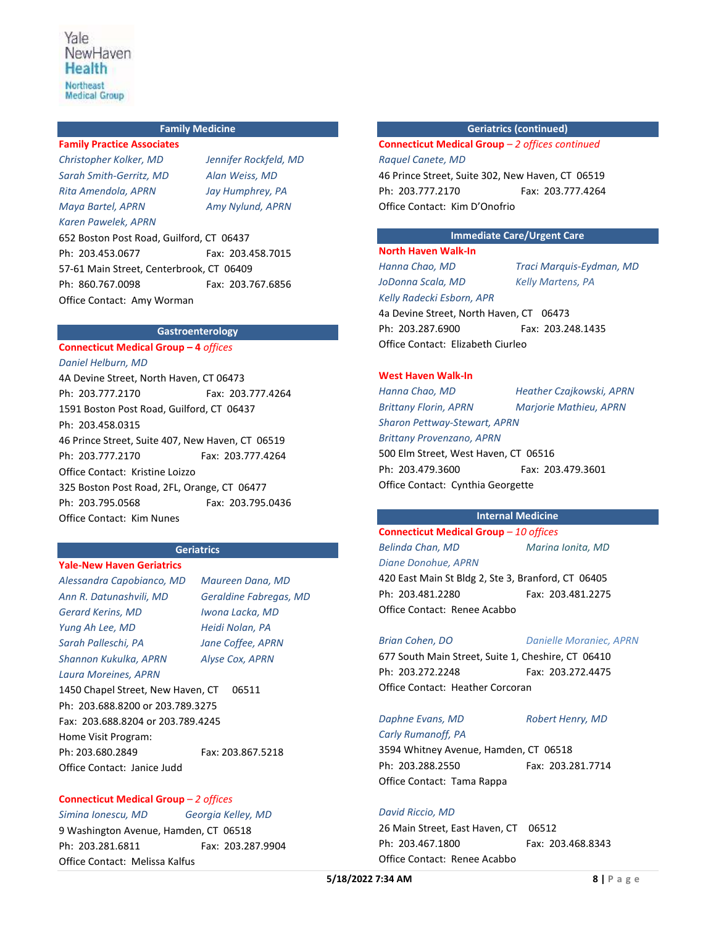## **Family Medicine**

**Family Practice Associates** *Christopher Kolker, MD Jennifer Rockfeld, MD Sarah Smith-Gerritz, MD Alan Weiss, MD Rita Amendola, APRN Jay Humphrey, PA Maya Bartel, APRN Amy Nylund, APRN Karen Pawelek, APRN* 652 Boston Post Road, Guilford, CT 06437 Ph: 203.453.0677 Fax: 203.458.7015 57-61 Main Street, Centerbrook, CT 06409 Ph: 860.767.0098 Fax: 203.767.6856 Office Contact: Amy Worman

## **Gastroenterology**

#### **Connecticut Medical Group – 4** *offices*

*Daniel Helburn, MD* 4A Devine Street, North Haven, CT 06473 Ph: 203.777.2170 Fax: 203.777.4264 1591 Boston Post Road, Guilford, CT 06437 Ph: 203.458.0315 46 Prince Street, Suite 407, New Haven, CT 06519 Ph: 203.777.2170 Fax: 203.777.4264 Office Contact: Kristine Loizzo 325 Boston Post Road, 2FL, Orange, CT 06477 Ph: 203.795.0568 Fax: 203.795.0436 Office Contact: Kim Nunes

## **Geriatrics**

## **Yale-New Haven Geriatrics**

*Alessandra Capobianco, MD Maureen Dana, MD Ann R. Datunashvili, MD Geraldine Fabregas, MD Gerard Kerins, MD Iwona Lacka, MD Yung Ah Lee, MD Heidi Nolan, PA Sarah Palleschi, PA Jane Coffee, APRN Shannon Kukulka, APRN Alyse Cox, APRN Laura Moreines, APRN* 1450 Chapel Street, New Haven, CT 06511 Ph: 203.688.8200 or 203.789.3275 Fax: 203.688.8204 or 203.789.4245 Home Visit Program: Ph: 203.680.2849 Fax: 203.867.5218 Office Contact: Janice Judd

## **Connecticut Medical Group** *– 2 offices*

## *Simina Ionescu, MD Georgia Kelley, MD* 9 Washington Avenue, Hamden, CT 06518

Ph: 203.281.6811 Fax: 203.287.9904 Office Contact: Melissa Kalfus

## **Geriatrics (continued)**

**Connecticut Medical Group** *– 2 offices continued Raquel Canete, MD* 46 Prince Street, Suite 302, New Haven, CT 06519 Ph: 203.777.2170 Fax: 203.777.4264 Office Contact: Kim D'Onofrio

## **Immediate Care/Urgent Care**

## **North Haven Walk-In**

*Hanna Chao, MD Traci Marquis-Eydman, MD JoDonna Scala, MD Kelly Martens, PA Kelly Radecki Esborn, APR*

4a Devine Street, North Haven, CT 06473 Ph: 203.287.6900 Fax: 203.248.1435 Office Contact: Elizabeth Ciurleo

## **West Haven Walk-In**

*Hanna Chao, MD Heather Czajkowski, APRN Brittany Florin, APRN Marjorie Mathieu, APRN Sharon Pettway-Stewart, APRN Brittany Provenzano, APRN*  500 Elm Street, West Haven, CT 06516 Ph: 203.479.3600 Fax: 203.479.3601 Office Contact: Cynthia Georgette

## **Internal Medicine**

# **Connecticut Medical Group** *– 10 offices*

*Belinda Chan, MD Marina Ionita, MD Diane Donohue, APRN* 420 East Main St Bldg 2, Ste 3, Branford, CT 06405 Ph: 203.481.2280 Fax: 203.481.2275 Office Contact: Renee Acabbo

*Brian Cohen, DO Danielle Moraniec, APRN*

677 South Main Street, Suite 1, Cheshire, CT 06410 Ph: 203.272.2248 Fax: 203.272.4475 Office Contact: Heather Corcoran

## *Daphne Evans, MD Robert Henry, MD*

*Carly Rumanoff, PA* 3594 Whitney Avenue, Hamden, CT 06518 Ph: 203.288.2550 Fax: 203.281.7714 Office Contact: Tama Rappa

## *David Riccio, MD*

26 Main Street, East Haven, CT 06512 Ph: 203.467.1800 Fax: 203.468.8343 Office Contact: Renee Acabbo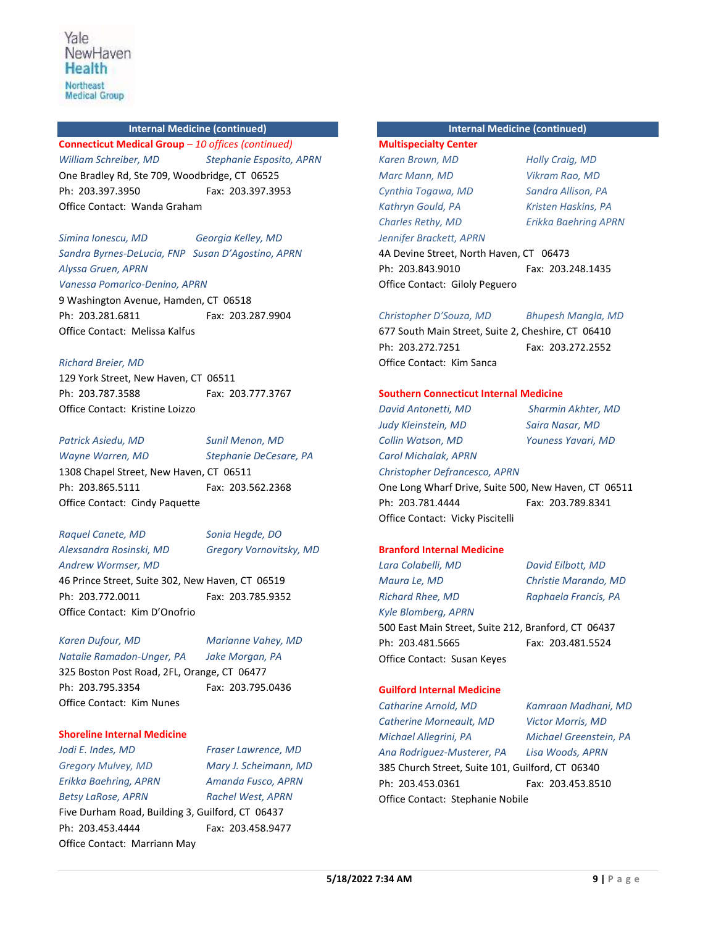#### **Internal Medicine (continued)**

**Connecticut Medical Group** *– 10 offices (continued) William Schreiber, MD Stephanie Esposito, APRN* One Bradley Rd, Ste 709, Woodbridge, CT 06525 Ph: 203.397.3950 Fax: 203.397.3953 Office Contact: Wanda Graham

## *Simina Ionescu, MD Georgia Kelley, MD Sandra Byrnes-DeLucia, FNP Susan D'Agostino, APRN Alyssa Gruen, APRN*

*Vanessa Pomarico-Denino, APRN* 9 Washington Avenue, Hamden, CT 06518 Ph: 203.281.6811 Fax: 203.287.9904 Office Contact: Melissa Kalfus

## *Richard Breier, MD*

129 York Street, New Haven, CT 06511 Ph: 203.787.3588 Fax: 203.777.3767 Office Contact: Kristine Loizzo

*Patrick Asiedu, MD Sunil Menon, MD Wayne Warren, MD Stephanie DeCesare, PA* 1308 Chapel Street, New Haven, CT 06511 Ph: 203.865.5111 Fax: 203.562.2368 Office Contact: Cindy Paquette

# *Raquel Canete, MD Sonia Hegde, DO Andrew Wormser, MD*

*Alexsandra Rosinski, MD Gregory Vornovitsky, MD* 

46 Prince Street, Suite 302, New Haven, CT 06519 Ph: 203.772.0011 Fax: 203.785.9352 Office Contact: Kim D'Onofrio

*Karen Dufour, MD Marianne Vahey, MD Natalie Ramadon-Unger, PA Jake Morgan, PA*

325 Boston Post Road, 2FL, Orange, CT 06477 Ph: 203.795.3354 Fax: 203.795.0436 Office Contact: Kim Nunes

## **Shoreline Internal Medicine**

*Jodi E. Indes, MD Fraser Lawrence, MD Gregory Mulvey, MD Mary J. Scheimann, MD Erikka Baehring, APRN Amanda Fusco, APRN Betsy LaRose, APRN Rachel West, APRN* Five Durham Road, Building 3, Guilford, CT 06437 Ph: 203.453.4444 Fax: 203.458.9477 Office Contact: Marriann May

**Internal Medicine (continued)**

# **Multispecialty Center** *Karen Brown, MD Holly Craig, MD Marc Mann, MD Vikram Rao, MD Cynthia Togawa, MD Sandra Allison, PA Kathryn Gould, PA Kristen Haskins, PA Charles Rethy, MD Erikka Baehring APRN Jennifer Brackett, APRN*

4A Devine Street, North Haven, CT 06473 Ph: 203.843.9010 Fax: 203.248.1435 Office Contact: Giloly Peguero

## *Christopher D'Souza, MD Bhupesh Mangla, MD*

677 South Main Street, Suite 2, Cheshire, CT 06410 Ph:203.272.7251 Fax: 203.272.2552 Office Contact: Kim Sanca

## **Southern Connecticut Internal Medicine**

*David Antonetti, MD Sharmin Akhter, MD Judy Kleinstein, MD Saira Nasar, MD Collin Watson, MD Youness Yavari, MD Carol Michalak, APRN Christopher Defrancesco, APRN*

One Long Wharf Drive, Suite 500, New Haven, CT 06511 Ph: 203.781.4444 Fax: 203.789.8341 Office Contact: Vicky Piscitelli

#### **Branford Internal Medicine**

*Lara Colabelli, MD David Eilbott, MD Maura Le, MD Christie Marando, MD Richard Rhee, MD Raphaela Francis, PA Kyle Blomberg, APRN* 500 East Main Street, Suite 212, Branford, CT 06437 Ph: 203.481.5665 Fax: 203.481.5524 Office Contact: Susan Keyes

#### **Guilford Internal Medicine**

*Catharine Arnold, MD Kamraan Madhani, MD Catherine Morneault, MD Victor Morris, MD Michael Allegrini, PA Michael Greenstein, PA Ana Rodriguez-Musterer, PA Lisa Woods, APRN* 385 Church Street, Suite 101, Guilford, CT 06340 Ph: 203.453.0361 Fax: 203.453.8510 Office Contact: Stephanie Nobile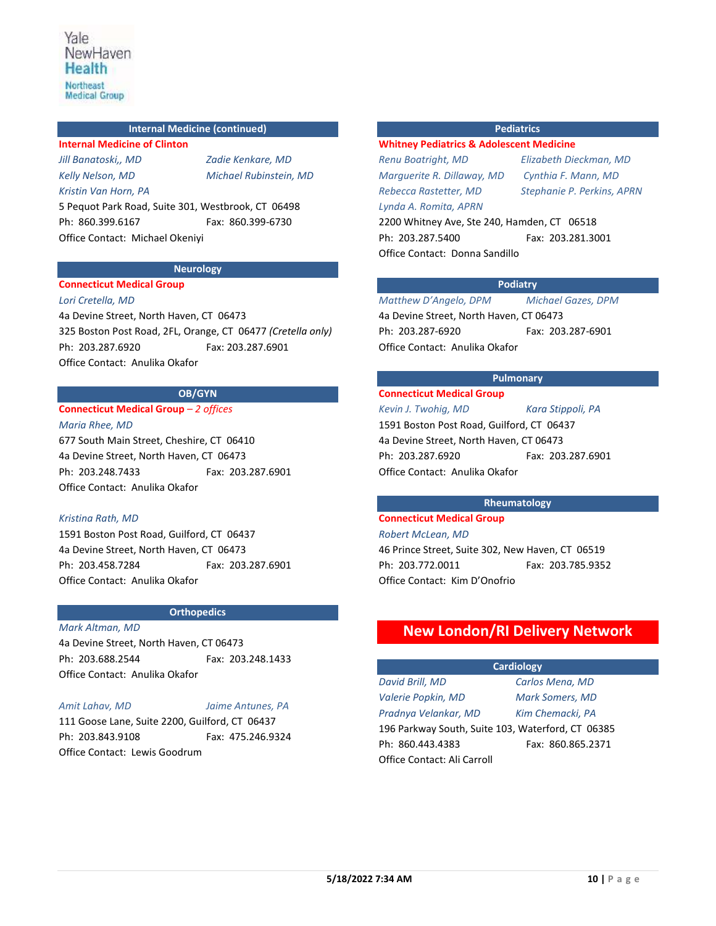## **Internal Medicine (continued)**

**Internal Medicine of Clinton** *Jill Banatoski,, MD Zadie Kenkare, MD Kristin Van Horn, PA*

*Kelly Nelson, MD Michael Rubinstein, MD*

5 Pequot Park Road, Suite 301, Westbrook, CT 06498 Ph: 860.399.6167 Fax: 860.399-6730 Office Contact: Michael Okeniyi

## **Neurology**

### **Connecticut Medical Group**

*Lori Cretella, MD* 4a Devine Street, North Haven, CT 06473 325 Boston Post Road, 2FL, Orange, CT 06477 *(Cretella only)* Ph: 203.287.6920 Fax: 203.287.6901 Office Contact: Anulika Okafor

**OB/GYN**

#### **Connecticut Medical Group** *– 2 offices*

*Maria Rhee, MD*

677 South Main Street, Cheshire, CT 06410 4a Devine Street, North Haven, CT 06473 Ph: 203.248.7433 Fax: 203.287.6901 Office Contact: Anulika Okafor

#### *Kristina Rath, MD*

1591 Boston Post Road, Guilford, CT 06437 4a Devine Street, North Haven, CT 06473 Ph: 203.458.7284 Fax: 203.287.6901 Office Contact: Anulika Okafor

## **Orthopedics**

#### *Mark Altman, MD*

4a Devine Street, North Haven, CT 06473 Ph: 203.688.2544 Fax: 203.248.1433 Office Contact: Anulika Okafor

## *Amit Lahav, MD Jaime Antunes, PA*

111 Goose Lane, Suite 2200, Guilford, CT 06437 Ph: 203.843.9108 Fax: 475.246.9324 Office Contact: Lewis Goodrum

## **Pediatrics**

#### **Whitney Pediatrics & Adolescent Medicine**

*Marguerite R. Dillaway, MD Cynthia F. Mann, MD Rebecca Rastetter, MD Stephanie P. Perkins, APRN Lynda A. Romita, APRN*

*Renu Boatright, MD Elizabeth Dieckman, MD* 

2200 Whitney Ave, Ste 240, Hamden, CT 06518 Ph: 203.287.5400 Fax: 203.281.3001 Office Contact: Donna Sandillo

#### **Podiatry**

*Matthew D'Angelo, DPM Michael Gazes, DPM* 4a Devine Street, North Haven, CT 06473 Ph: 203.287-6920 Fax: 203.287-6901 Office Contact: Anulika Okafor

## **Pulmonary**

## **Connecticut Medical Group**

*Kevin J. Twohig, MD Kara Stippoli, PA* 1591 Boston Post Road, Guilford, CT 06437 4a Devine Street, North Haven, CT 06473 Ph: 203.287.6920 Fax: 203.287.6901 Office Contact: Anulika Okafor

## **Rheumatology Connecticut Medical Group**

# *Robert McLean, MD*

46 Prince Street, Suite 302, New Haven, CT 06519 Ph: 203.772.0011 Fax: 203.785.9352 Office Contact: Kim D'Onofrio

# **New London/RI Delivery Network**

**Cardiology**

*Valerie Popkin, MD Mark Somers, MD Pradnya Velankar, MD Kim Chemacki, PA* 196 Parkway South, Suite 103, Waterford, CT 06385 Ph: 860.443.4383 Fax: 860.865.2371 Office Contact: Ali Carroll

*David Brill, MD Carlos Mena, MD*

**5/18/2022 7:34 AM 10 | P a g e**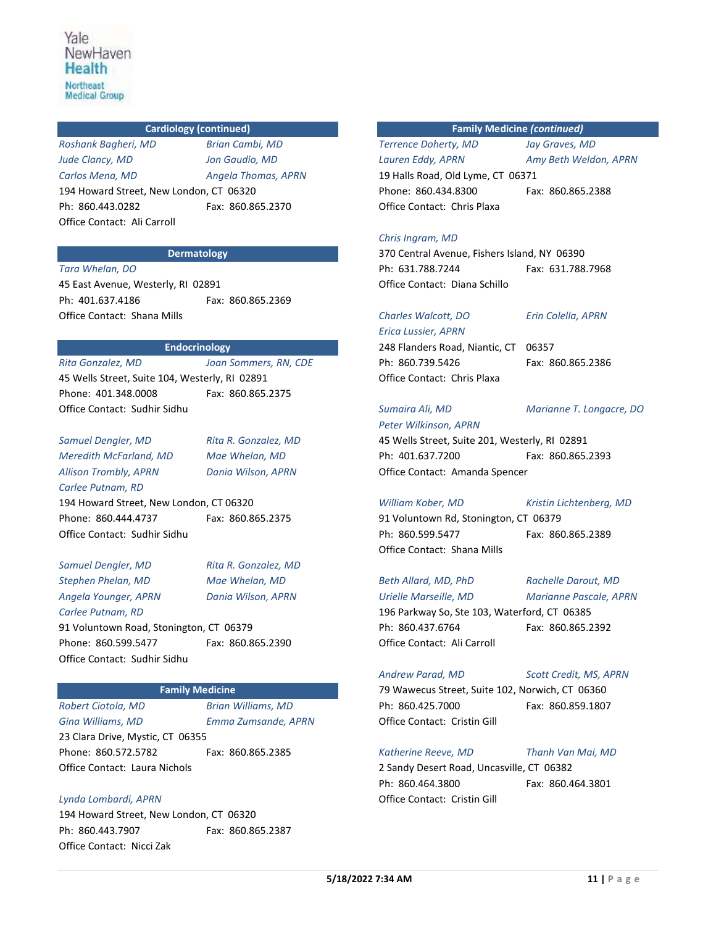## **Cardiology (continued)**

*Roshank Bagheri, MD Brian Cambi, MD Jude Clancy, MD Jon Gaudio, MD Carlos Mena, MD Angela Thomas, APRN* 194 Howard Street, New London, CT 06320 Ph: 860.443.0282 Fax: 860.865.2370 Office Contact: Ali Carroll

## **Dermatology**

*Tara Whelan, DO* 45 East Avenue, Westerly, RI 02891 Ph: 401.637.4186 Fax: 860.865.2369 Office Contact: Shana Mills

#### **Endocrinology**

*Rita Gonzalez, MD Joan Sommers, RN, CDE* 45 Wells Street, Suite 104, Westerly, RI 02891 Phone: 401.348.0008 Fax: 860.865.2375 Office Contact: Sudhir Sidhu

*Samuel Dengler, MD Rita R. Gonzalez, MD Meredith McFarland, MD Mae Whelan, MD Allison Trombly, APRN Dania Wilson, APRN Carlee Putnam, RD* 194 Howard Street, New London, CT 06320 Phone: 860.444.4737 Fax: 860.865.2375 Office Contact: Sudhir Sidhu

*Samuel Dengler, MD Rita R. Gonzalez, MD Stephen Phelan, MD Mae Whelan, MD Angela Younger, APRN Dania Wilson, APRN Carlee Putnam, RD* 91 Voluntown Road, Stonington, CT 06379 Phone: 860.599.5477 Fax: 860.865.2390 Office Contact: Sudhir Sidhu

#### **Family Medicine**

*Robert Ciotola, MD Brian Williams, MD*

*Gina Williams, MD Emma Zumsande, APRN*

23 Clara Drive, Mystic, CT 06355 Phone: 860.572.5782 Fax: 860.865.2385 Office Contact: Laura Nichols

*Lynda Lombardi, APRN* 194 Howard Street, New London, CT 06320 Ph: 860.443.7907 Fax: 860.865.2387 Office Contact: Nicci Zak

**Family Medicine** *(continued)*

*Terrence Doherty, MD Jay Graves, MD Lauren Eddy, APRN Amy Beth Weldon, APRN* 19 Halls Road, Old Lyme, CT 06371 Phone: 860.434.8300 Fax: 860.865.2388 Office Contact: Chris Plaxa

#### *Chris Ingram, MD*

370 Central Avenue, Fishers Island, NY 06390 Ph: 631.788.7244 Fax: 631.788.7968 Office Contact: Diana Schillo

## *Charles Walcott, DO Erin Colella, APRN*

*Erica Lussier, APRN* 248 Flanders Road, Niantic, CT 06357 Ph: 860.739.5426 Fax: 860.865.2386 Office Contact: Chris Plaxa

*Sumaira Ali, MD Marianne T. Longacre, DO*

*Peter Wilkinson, APRN* 45 Wells Street, Suite 201, Westerly, RI 02891 Ph: 401.637.7200 Fax: 860.865.2393 Office Contact: Amanda Spencer

*William Kober, MD Kristin Lichtenberg, MD*  91 Voluntown Rd, Stonington, CT 06379 Ph: 860.599.5477 Fax: 860.865.2389 Office Contact: Shana Mills

*Beth Allard, MD, PhD Rachelle Darout, MD Urielle Marseille, MD Marianne Pascale, APRN* 196 Parkway So, Ste 103, Waterford, CT 06385 Ph: 860.437.6764 Fax: 860.865.2392 Office Contact: Ali Carroll

#### *Andrew Parad, MD Scott Credit, MS, APRN*

79 Wawecus Street, Suite 102, Norwich, CT 06360 Ph: 860.425.7000 Fax: 860.859.1807 Office Contact: Cristin Gill

*Katherine Reeve, MD Thanh Van Mai, MD* 2 Sandy Desert Road, Uncasville, CT 06382 Ph: 860.464.3800 Fax: 860.464.3801 Office Contact: Cristin Gill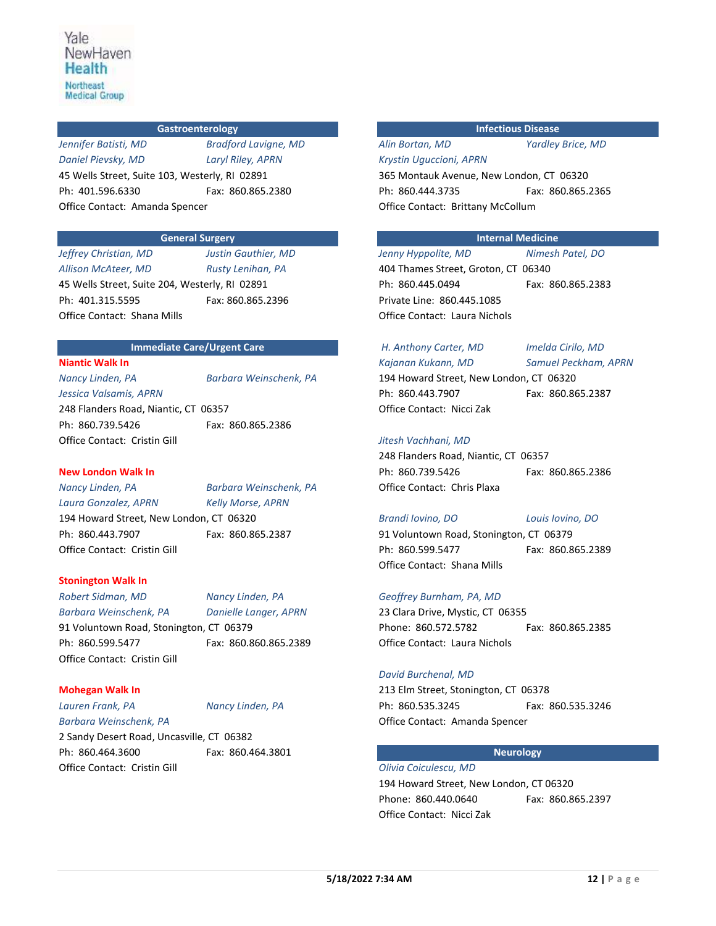## **Gastroenterology**

*Daniel Pievsky, MD Laryl Riley, APRN*

*Jennifer Batisti, MD Bradford Lavigne, MD*

45 Wells Street, Suite 103, Westerly, RI 02891 Ph: 401.596.6330 Fax: 860.865.2380 Office Contact: Amanda Spencer

## **General Surgery**

*Jeffrey Christian, MD Justin Gauthier, MD Allison McAteer, MD Rusty Lenihan, PA* 45 Wells Street, Suite 204, Westerly, RI 02891 Ph: 401.315.5595 Fax: 860.865.2396 Office Contact: Shana Mills

## **Immediate Care/Urgent Care**

**Niantic Walk In** *Jessica Valsamis, APRN*

*Nancy Linden, PA Barbara Weinschenk, PA*

248 Flanders Road, Niantic, CT 06357 Ph: 860.739.5426 Fax: 860.865.2386 Office Contact: Cristin Gill

#### **New London Walk In**

*Nancy Linden, PA Barbara Weinschenk, PA Laura Gonzalez, APRN Kelly Morse, APRN* 194 Howard Street, New London, CT 06320 Ph: 860.443.7907 Fax: 860.865.2387 Office Contact: Cristin Gill

#### **Stonington Walk In**

*Robert Sidman, MD Nancy Linden, PA Barbara Weinschenk, PA Danielle Langer, APRN* 91 Voluntown Road, Stonington, CT 06379 Ph: 860.599.5477 Fax: 860.860.865.2389 Office Contact: Cristin Gill

## **Mohegan Walk In**

*Lauren Frank, PA Nancy Linden, PA Barbara Weinschenk, PA*

2 Sandy Desert Road, Uncasville, CT 06382 Ph: 860.464.3600 Fax: 860.464.3801 Office Contact: Cristin Gill

## **Infectious Disease**

## *Alin Bortan, MD Yardley Brice, MD Krystin Uguccioni, APRN*

365 Montauk Avenue, New London, CT 06320 Ph: 860.444.3735 Fax: 860.865.2365 Office Contact: Brittany McCollum

## **Internal Medicine**

*Jenny Hyppolite, MD Nimesh Patel, DO* 404 Thames Street, Groton, CT 06340 Ph: 860.445.0494 Fax: 860.865.2383 Private Line: 860.445.1085 Office Contact: Laura Nichols

# *H. Anthony Carter, MD Imelda Cirilo, MD*

194 Howard Street, New London, CT 06320 Ph: 860.443.7907 Fax: 860.865.2387 Office Contact: Nicci Zak

*Kajanan Kukann, MD Samuel Peckham, APRN*

#### *Jitesh Vachhani, MD*

248 Flanders Road, Niantic, CT 06357 Ph: 860.739.5426 Fax: 860.865.2386 Office Contact: Chris Plaxa

## *Brandi Iovino, DO Louis Iovino, DO*

91 Voluntown Road, Stonington, CT 06379 Ph: 860.599.5477 Fax: 860.865.2389 Office Contact: Shana Mills

### *Geoffrey Burnham, PA, MD*

23 Clara Drive, Mystic, CT 06355 Phone: 860.572.5782 Fax: 860.865.2385 Office Contact: Laura Nichols

#### *David Burchenal, MD*

213 Elm Street, Stonington, CT 06378 Ph: 860.535.3245 Fax: 860.535.3246 Office Contact: Amanda Spencer

## **Neurology**

*Olivia Coiculescu, MD* 194 Howard Street, New London, CT 06320 Phone: 860.440.0640 Fax: 860.865.2397 Office Contact: Nicci Zak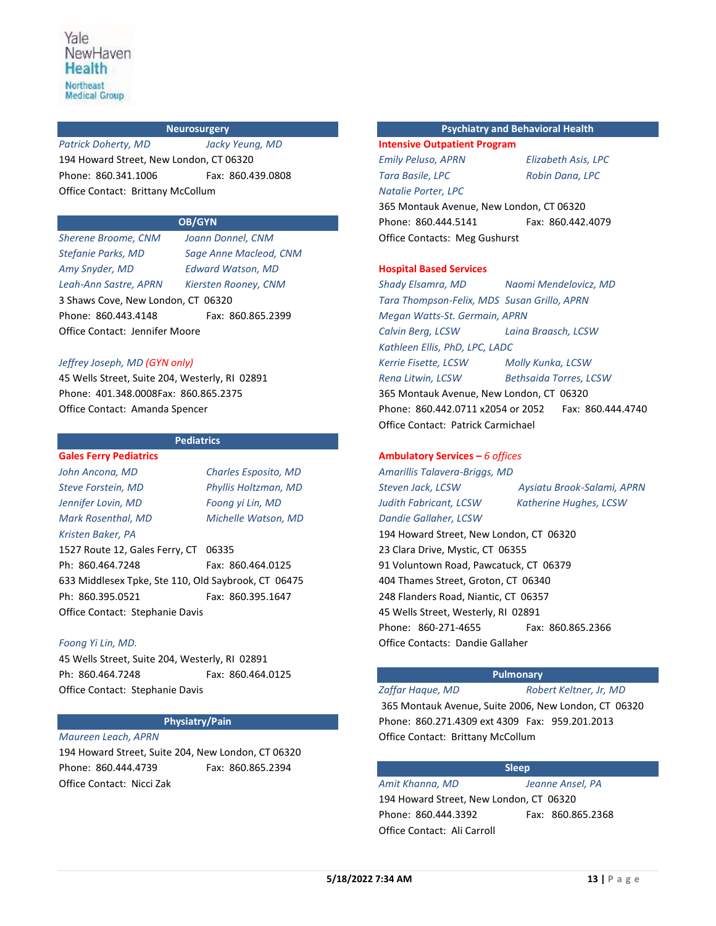## **Neurosurgery**

*Patrick Doherty, MD Jacky Yeung, MD* 194 Howard Street, New London, CT 06320 Phone: 860.341.1006 Fax: 860.439.0808 Office Contact: Brittany McCollum

## **OB/GYN**

*Sherene Broome, CNM Joann Donnel, CNM Stefanie Parks, MD Sage Anne Macleod, CNM Amy Snyder, MD Edward Watson, MD Leah-Ann Sastre, APRN Kiersten Rooney, CNM* 3 Shaws Cove, New London, CT 06320 Phone: 860.443.4148 Fax: 860.865.2399 Office Contact: Jennifer Moore

## *Jeffrey Joseph, MD (GYN only)*

45 Wells Street, Suite 204, Westerly, RI 02891 Phone: 401.348.0008Fax: 860.865.2375 Office Contact: Amanda Spencer

## **Pediatrics**

**Gales Ferry Pediatrics** *John Ancona, MD Charles Esposito, MD Jennifer Lovin, MD Foong yi Lin, MD*

*Kristen Baker, PA*

*Steve Forstein, MD Phyllis Holtzman, MD Mark Rosenthal, MD Michelle Watson, MD*

1527 Route 12, Gales Ferry, CT 06335 Ph: 860.464.7248 Fax: 860.464.0125 633 Middlesex Tpke, Ste 110, Old Saybrook, CT 06475 Ph: 860.395.0521 Fax: 860.395.1647 Office Contact: Stephanie Davis

#### *Foong Yi Lin, MD.*

45 Wells Street, Suite 204, Westerly, RI 02891 Ph: 860.464.7248 Fax: 860.464.0125 Office Contact: Stephanie Davis

#### **Physiatry/Pain**

## *Maureen Leach, APRN*

194 Howard Street, Suite 204, New London, CT 06320 Phone: 860.444.4739 Fax: 860.865.2394 Office Contact: Nicci Zak

## **Psychiatry and Behavioral Health**

**Intensive Outpatient Program** *Emily Peluso, APRN Elizabeth Asis, LPC Tara Basile, LPC Robin Dana, LPC Natalie Porter, LPC*

365 Montauk Avenue, New London, CT 06320 Phone: 860.444.5141 Fax: 860.442.4079 Office Contacts: Meg Gushurst

#### **Hospital Based Services**

*Shady Elsamra, MD Naomi Mendelovicz, MD Tara Thompson-Felix, MDS Susan Grillo, APRN Megan Watts-St. Germain, APRN Calvin Berg, LCSW Laina Braasch, LCSW Kathleen Ellis, PhD, LPC, LADC Kerrie Fisette, LCSW Molly Kunka, LCSW Rena Litwin, LCSW Bethsaida Torres, LCSW* 365 Montauk Avenue, New London, CT 06320 Phone: 860.442.0711 x2054 or 2052 Fax: 860.444.4740 Office Contact: Patrick Carmichael

#### **Ambulatory Services –** *6 offices*

*Amarillis Talavera-Briggs, MD Judith Fabricant, LCSW Katherine Hughes, LCSW Dandie Gallaher, LCSW* 

*Steven Jack, LCSW Aysiatu Brook-Salami, APRN*

194 Howard Street, New London, CT 06320 23 Clara Drive, Mystic, CT 06355 91 Voluntown Road, Pawcatuck, CT 06379 404 Thames Street, Groton, CT 06340 248 Flanders Road, Niantic, CT 06357 45 Wells Street, Westerly, RI 02891 Phone: 860-271-4655 Fax: 860.865.2366 Office Contacts: Dandie Gallaher

## **Pulmonary**

*Zaffar Haque, MD Robert Keltner, Jr, MD* 365 Montauk Avenue, Suite 2006, New London, CT 06320 Phone: 860.271.4309 ext 4309 Fax: 959.201.2013 Office Contact: Brittany McCollum

#### **Sleep**

*Amit Khanna, MD Jeanne Ansel, PA* 194 Howard Street, New London, CT 06320 Phone: 860.444.3392 Fax: 860.865.2368 Office Contact: Ali Carroll